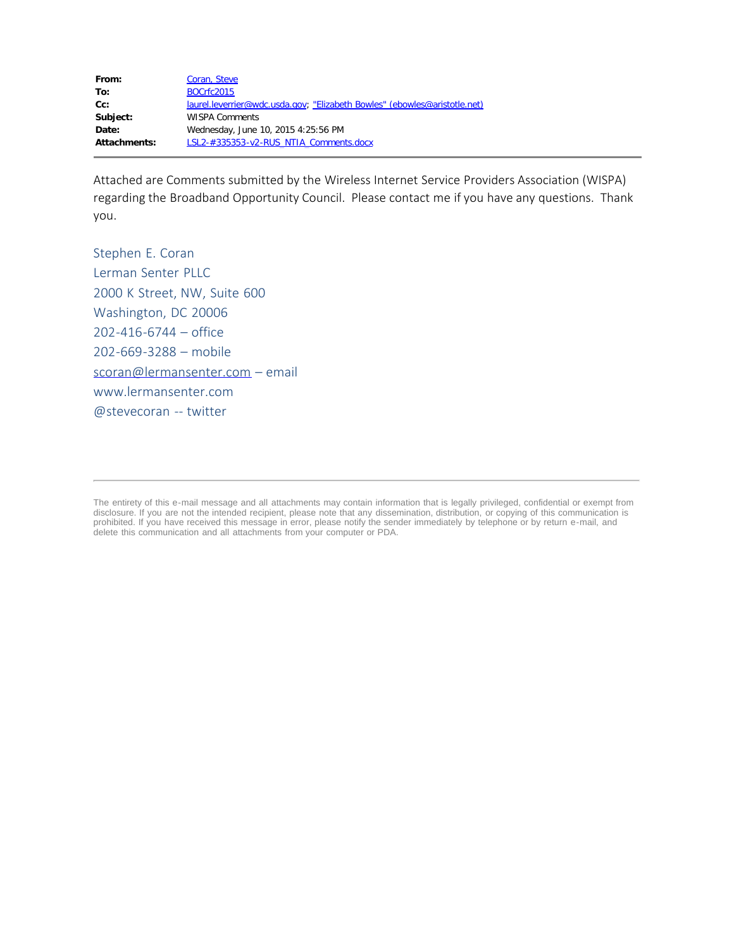| From:        | Coran, Steve                                                              |
|--------------|---------------------------------------------------------------------------|
| To:          | <b>BOCrfc2015</b>                                                         |
| cc:          | laurel.leverrier@wdc.usda.gov; "Elizabeth Bowles" (ebowles@aristotle.net) |
| Subject:     | <b>WISPA Comments</b>                                                     |
| Date:        | Wednesday, June 10, 2015 4:25:56 PM                                       |
| Attachments: | LSL2-#335353-v2-RUS NTIA Comments.docx                                    |
|              |                                                                           |

Attached are Comments submitted by the Wireless Internet Service Providers Association (WISPA) regarding the Broadband Opportunity Council. Please contact me if you have any questions. Thank you.

Stephen E. Coran Lerman Senter PLLC 2000 K Street, NW, Suite 600 Washington, DC 20006 202-416-6744 – office 202-669-3288 – mobile [scoran@lermansenter.com](mailto:scoran@lermansenter.com) – email www.lermansenter.com @stevecoran -- twitter

The entirety of this e-mail message and all attachments may contain information that is legally privileged, confidential or exempt from disclosure. If you are not the intended recipient, please note that any dissemination, distribution, or copying of this communication is prohibited. If you have received this message in error, please notify the sender immediately by telephone or by return e-mail, and delete this communication and all attachments from your computer or PDA.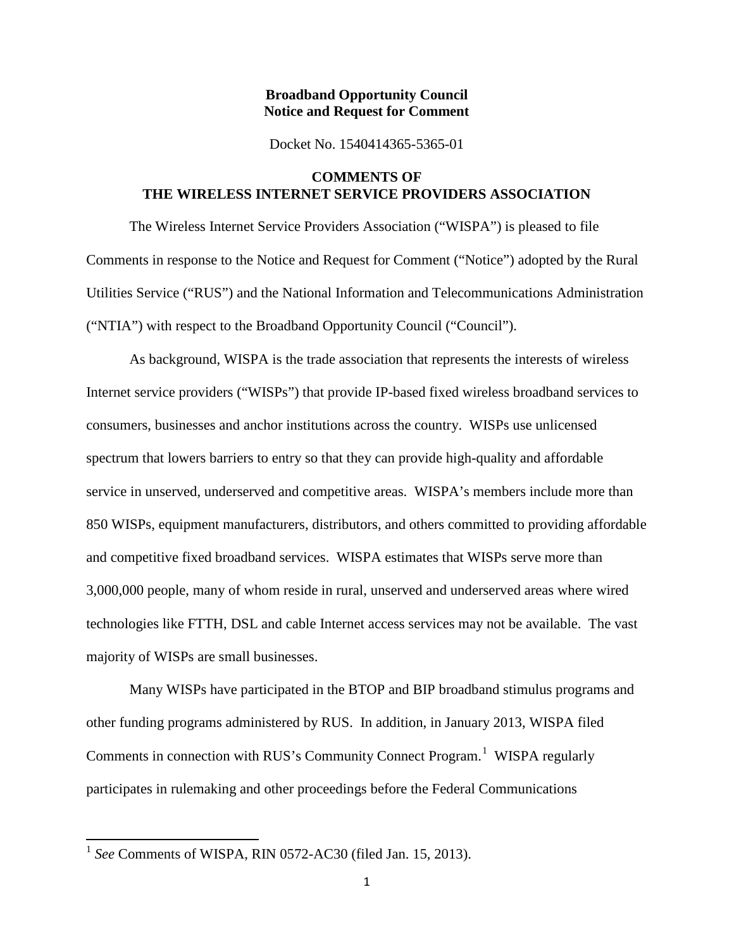#### **Broadband Opportunity Council Notice and Request for Comment**

Docket No. 1540414365-5365-01

## **COMMENTS OF THE WIRELESS INTERNET SERVICE PROVIDERS ASSOCIATION**

The Wireless Internet Service Providers Association ("WISPA") is pleased to file Comments in response to the Notice and Request for Comment ("Notice") adopted by the Rural Utilities Service ("RUS") and the National Information and Telecommunications Administration ("NTIA") with respect to the Broadband Opportunity Council ("Council").

As background, WISPA is the trade association that represents the interests of wireless Internet service providers ("WISPs") that provide IP-based fixed wireless broadband services to consumers, businesses and anchor institutions across the country. WISPs use unlicensed spectrum that lowers barriers to entry so that they can provide high-quality and affordable service in unserved, underserved and competitive areas. WISPA's members include more than 850 WISPs, equipment manufacturers, distributors, and others committed to providing affordable and competitive fixed broadband services. WISPA estimates that WISPs serve more than 3,000,000 people, many of whom reside in rural, unserved and underserved areas where wired technologies like FTTH, DSL and cable Internet access services may not be available. The vast majority of WISPs are small businesses.

Many WISPs have participated in the BTOP and BIP broadband stimulus programs and other funding programs administered by RUS. In addition, in January 2013, WISPA filed Comments in connection with RUS's Community Connect Program.<sup>[1](#page-1-0)</sup> WISPA regularly participates in rulemaking and other proceedings before the Federal Communications

<span id="page-1-0"></span><sup>1</sup> *See* Comments of WISPA, RIN 0572-AC30 (filed Jan. 15, 2013).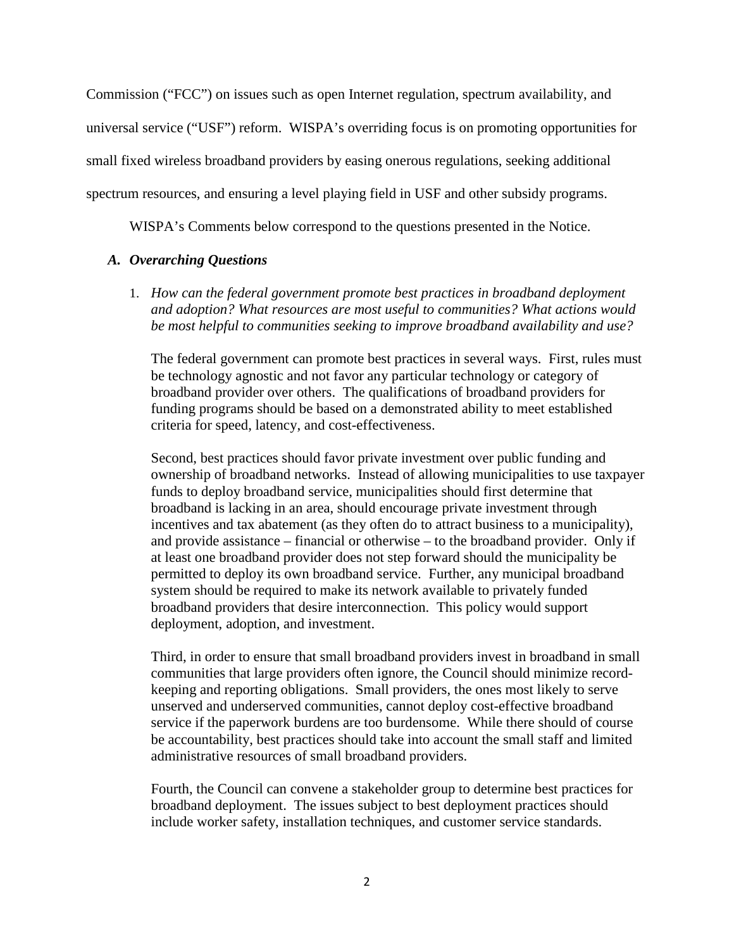Commission ("FCC") on issues such as open Internet regulation, spectrum availability, and universal service ("USF") reform. WISPA's overriding focus is on promoting opportunities for small fixed wireless broadband providers by easing onerous regulations, seeking additional spectrum resources, and ensuring a level playing field in USF and other subsidy programs.

WISPA's Comments below correspond to the questions presented in the Notice.

## *A. Overarching Questions*

1. *How can the federal government promote best practices in broadband deployment and adoption? What resources are most useful to communities? What actions would be most helpful to communities seeking to improve broadband availability and use?* 

The federal government can promote best practices in several ways. First, rules must be technology agnostic and not favor any particular technology or category of broadband provider over others. The qualifications of broadband providers for funding programs should be based on a demonstrated ability to meet established criteria for speed, latency, and cost-effectiveness.

Second, best practices should favor private investment over public funding and ownership of broadband networks. Instead of allowing municipalities to use taxpayer funds to deploy broadband service, municipalities should first determine that broadband is lacking in an area, should encourage private investment through incentives and tax abatement (as they often do to attract business to a municipality), and provide assistance – financial or otherwise – to the broadband provider. Only if at least one broadband provider does not step forward should the municipality be permitted to deploy its own broadband service. Further, any municipal broadband system should be required to make its network available to privately funded broadband providers that desire interconnection. This policy would support deployment, adoption, and investment.

Third, in order to ensure that small broadband providers invest in broadband in small communities that large providers often ignore, the Council should minimize recordkeeping and reporting obligations. Small providers, the ones most likely to serve unserved and underserved communities, cannot deploy cost-effective broadband service if the paperwork burdens are too burdensome. While there should of course be accountability, best practices should take into account the small staff and limited administrative resources of small broadband providers.

Fourth, the Council can convene a stakeholder group to determine best practices for broadband deployment. The issues subject to best deployment practices should include worker safety, installation techniques, and customer service standards.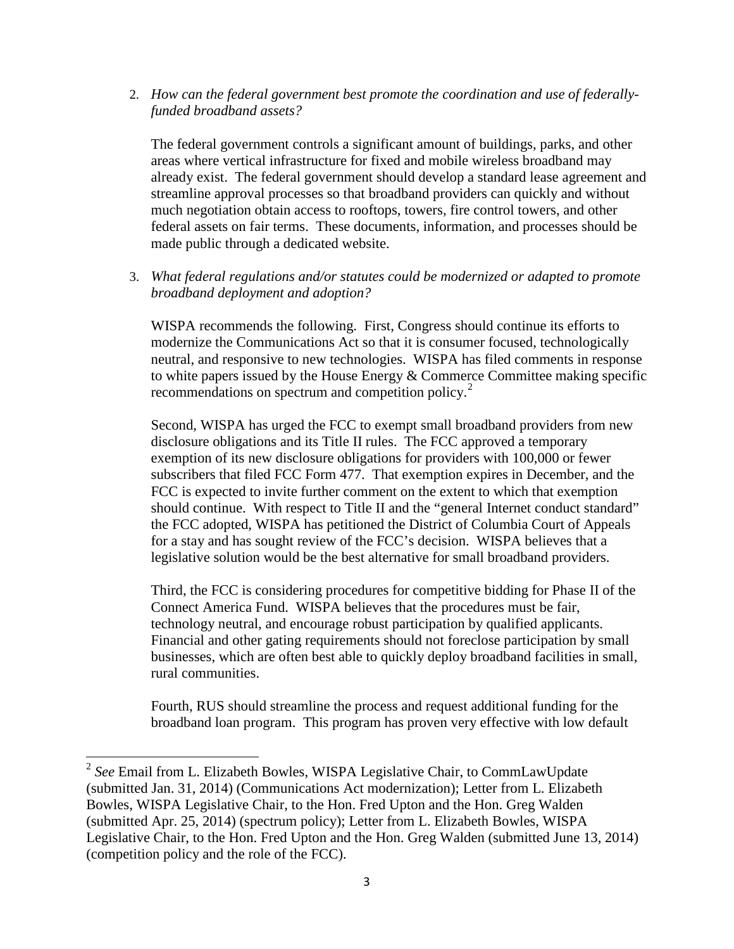2. *How can the federal government best promote the coordination and use of federallyfunded broadband assets?* 

The federal government controls a significant amount of buildings, parks, and other areas where vertical infrastructure for fixed and mobile wireless broadband may already exist. The federal government should develop a standard lease agreement and streamline approval processes so that broadband providers can quickly and without much negotiation obtain access to rooftops, towers, fire control towers, and other federal assets on fair terms. These documents, information, and processes should be made public through a dedicated website.

3. *What federal regulations and/or statutes could be modernized or adapted to promote broadband deployment and adoption?* 

WISPA recommends the following. First, Congress should continue its efforts to modernize the Communications Act so that it is consumer focused, technologically neutral, and responsive to new technologies. WISPA has filed comments in response to white papers issued by the House Energy & Commerce Committee making specific recommendations on spectrum and competition policy.<sup>[2](#page-3-0)</sup>

Second, WISPA has urged the FCC to exempt small broadband providers from new disclosure obligations and its Title II rules. The FCC approved a temporary exemption of its new disclosure obligations for providers with 100,000 or fewer subscribers that filed FCC Form 477. That exemption expires in December, and the FCC is expected to invite further comment on the extent to which that exemption should continue. With respect to Title II and the "general Internet conduct standard" the FCC adopted, WISPA has petitioned the District of Columbia Court of Appeals for a stay and has sought review of the FCC's decision. WISPA believes that a legislative solution would be the best alternative for small broadband providers.

Third, the FCC is considering procedures for competitive bidding for Phase II of the Connect America Fund. WISPA believes that the procedures must be fair, technology neutral, and encourage robust participation by qualified applicants. Financial and other gating requirements should not foreclose participation by small businesses, which are often best able to quickly deploy broadband facilities in small, rural communities.

Fourth, RUS should streamline the process and request additional funding for the broadband loan program. This program has proven very effective with low default

<span id="page-3-0"></span><sup>2</sup> *See* Email from L. Elizabeth Bowles, WISPA Legislative Chair, to CommLawUpdate (submitted Jan. 31, 2014) (Communications Act modernization); Letter from L. Elizabeth Bowles, WISPA Legislative Chair, to the Hon. Fred Upton and the Hon. Greg Walden (submitted Apr. 25, 2014) (spectrum policy); Letter from L. Elizabeth Bowles, WISPA Legislative Chair, to the Hon. Fred Upton and the Hon. Greg Walden (submitted June 13, 2014) (competition policy and the role of the FCC).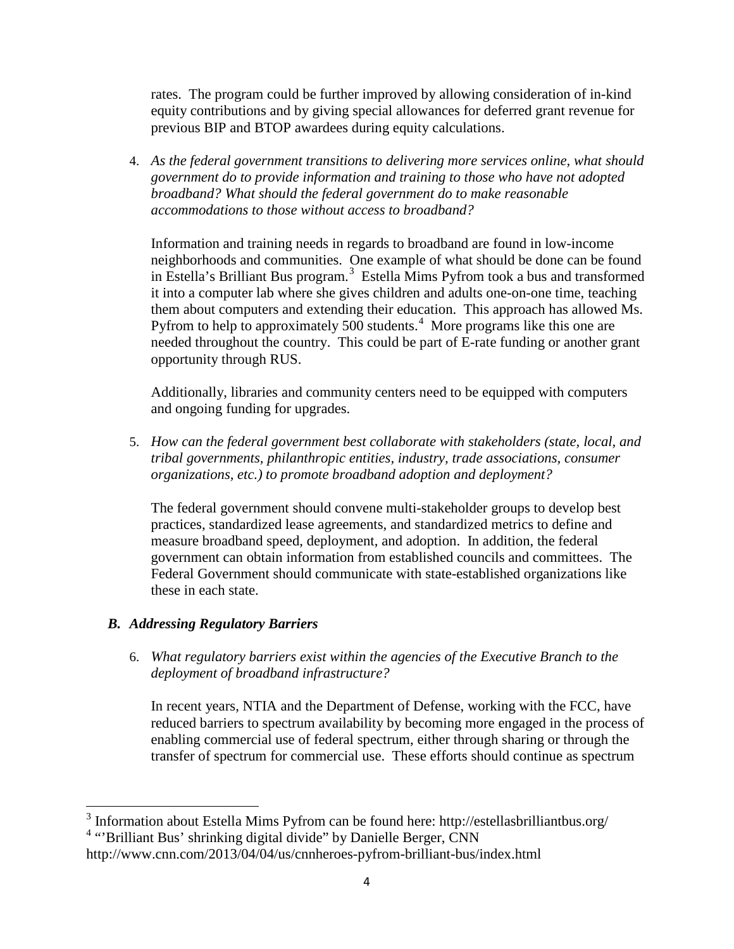rates. The program could be further improved by allowing consideration of in-kind equity contributions and by giving special allowances for deferred grant revenue for previous BIP and BTOP awardees during equity calculations.

4. *As the federal government transitions to delivering more services online, what should government do to provide information and training to those who have not adopted broadband? What should the federal government do to make reasonable accommodations to those without access to broadband?*

Information and training needs in regards to broadband are found in low-income neighborhoods and communities. One example of what should be done can be found in Estella's Brilliant Bus program.<sup>[3](#page-4-0)</sup> Estella Mims Pyfrom took a bus and transformed it into a computer lab where she gives children and adults one-on-one time, teaching them about computers and extending their education. This approach has allowed Ms. Pyfrom to help to approximately 500 students.<sup>[4](#page-4-1)</sup> More programs like this one are needed throughout the country. This could be part of E-rate funding or another grant opportunity through RUS.

Additionally, libraries and community centers need to be equipped with computers and ongoing funding for upgrades.

5. *How can the federal government best collaborate with stakeholders (state, local, and tribal governments, philanthropic entities, industry, trade associations, consumer organizations, etc.) to promote broadband adoption and deployment?* 

The federal government should convene multi-stakeholder groups to develop best practices, standardized lease agreements, and standardized metrics to define and measure broadband speed, deployment, and adoption. In addition, the federal government can obtain information from established councils and committees. The Federal Government should communicate with state-established organizations like these in each state.

# *B. Addressing Regulatory Barriers*

6. *What regulatory barriers exist within the agencies of the Executive Branch to the deployment of broadband infrastructure?* 

In recent years, NTIA and the Department of Defense, working with the FCC, have reduced barriers to spectrum availability by becoming more engaged in the process of enabling commercial use of federal spectrum, either through sharing or through the transfer of spectrum for commercial use. These efforts should continue as spectrum

<span id="page-4-1"></span><span id="page-4-0"></span><sup>3</sup> Information about Estella Mims Pyfrom can be found here: http://estellasbrilliantbus.org/ <sup>4</sup> "Brilliant Bus' shrinking digital divide" by Danielle Berger, CNN

http://www.cnn.com/2013/04/04/us/cnnheroes-pyfrom-brilliant-bus/index.html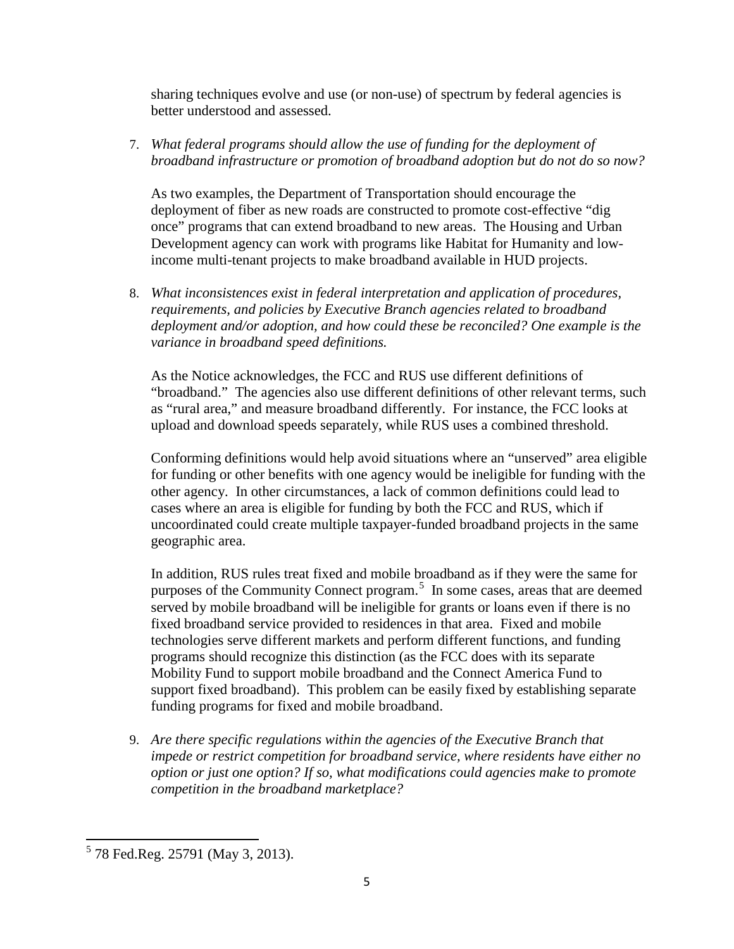sharing techniques evolve and use (or non-use) of spectrum by federal agencies is better understood and assessed.

7. *What federal programs should allow the use of funding for the deployment of broadband infrastructure or promotion of broadband adoption but do not do so now?* 

As two examples, the Department of Transportation should encourage the deployment of fiber as new roads are constructed to promote cost-effective "dig once" programs that can extend broadband to new areas. The Housing and Urban Development agency can work with programs like Habitat for Humanity and lowincome multi-tenant projects to make broadband available in HUD projects.

8. *What inconsistences exist in federal interpretation and application of procedures, requirements, and policies by Executive Branch agencies related to broadband deployment and/or adoption, and how could these be reconciled? One example is the variance in broadband speed definitions.* 

As the Notice acknowledges, the FCC and RUS use different definitions of "broadband." The agencies also use different definitions of other relevant terms, such as "rural area," and measure broadband differently. For instance, the FCC looks at upload and download speeds separately, while RUS uses a combined threshold.

Conforming definitions would help avoid situations where an "unserved" area eligible for funding or other benefits with one agency would be ineligible for funding with the other agency. In other circumstances, a lack of common definitions could lead to cases where an area is eligible for funding by both the FCC and RUS, which if uncoordinated could create multiple taxpayer-funded broadband projects in the same geographic area.

In addition, RUS rules treat fixed and mobile broadband as if they were the same for purposes of the Community Connect program.<sup>[5](#page-5-0)</sup> In some cases, areas that are deemed served by mobile broadband will be ineligible for grants or loans even if there is no fixed broadband service provided to residences in that area. Fixed and mobile technologies serve different markets and perform different functions, and funding programs should recognize this distinction (as the FCC does with its separate Mobility Fund to support mobile broadband and the Connect America Fund to support fixed broadband). This problem can be easily fixed by establishing separate funding programs for fixed and mobile broadband.

9. *Are there specific regulations within the agencies of the Executive Branch that impede or restrict competition for broadband service, where residents have either no option or just one option? If so, what modifications could agencies make to promote competition in the broadband marketplace?* 

<span id="page-5-0"></span><sup>5</sup> 78 Fed.Reg. 25791 (May 3, 2013).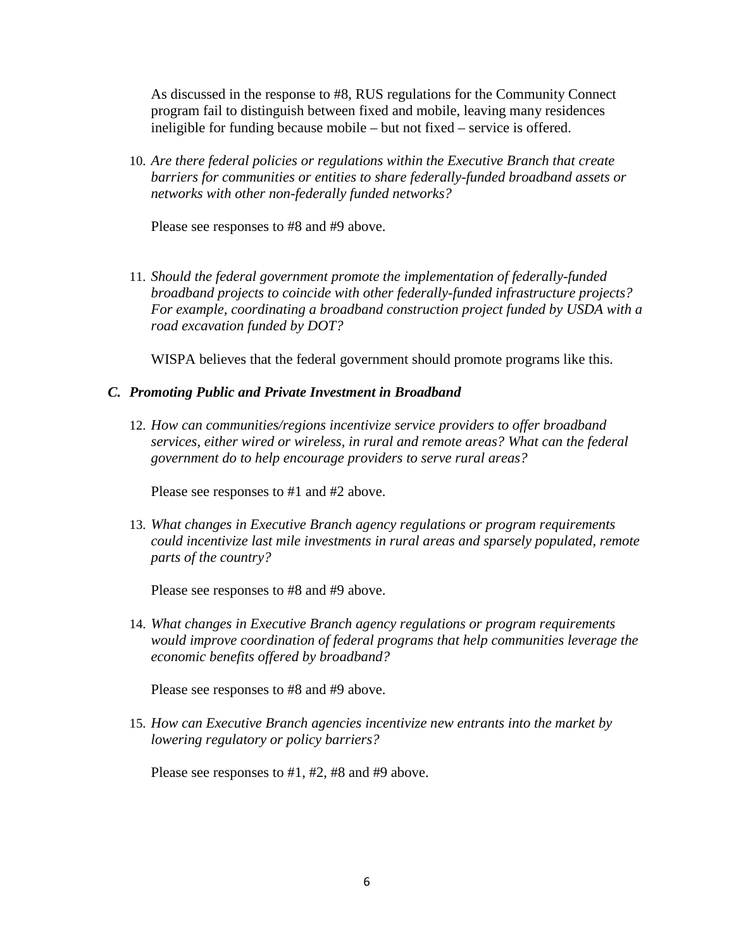As discussed in the response to #8, RUS regulations for the Community Connect program fail to distinguish between fixed and mobile, leaving many residences ineligible for funding because mobile – but not fixed – service is offered.

10. *Are there federal policies or regulations within the Executive Branch that create barriers for communities or entities to share federally-funded broadband assets or networks with other non-federally funded networks?* 

Please see responses to #8 and #9 above.

11. *Should the federal government promote the implementation of federally-funded broadband projects to coincide with other federally-funded infrastructure projects? For example, coordinating a broadband construction project funded by USDA with a road excavation funded by DOT?* 

WISPA believes that the federal government should promote programs like this.

## *C. Promoting Public and Private Investment in Broadband*

12. *How can communities/regions incentivize service providers to offer broadband services, either wired or wireless, in rural and remote areas? What can the federal government do to help encourage providers to serve rural areas?* 

Please see responses to #1 and #2 above.

13. *What changes in Executive Branch agency regulations or program requirements could incentivize last mile investments in rural areas and sparsely populated, remote parts of the country?* 

Please see responses to #8 and #9 above.

14. *What changes in Executive Branch agency regulations or program requirements would improve coordination of federal programs that help communities leverage the economic benefits offered by broadband?* 

Please see responses to #8 and #9 above.

15. *How can Executive Branch agencies incentivize new entrants into the market by lowering regulatory or policy barriers?* 

Please see responses to #1, #2, #8 and #9 above.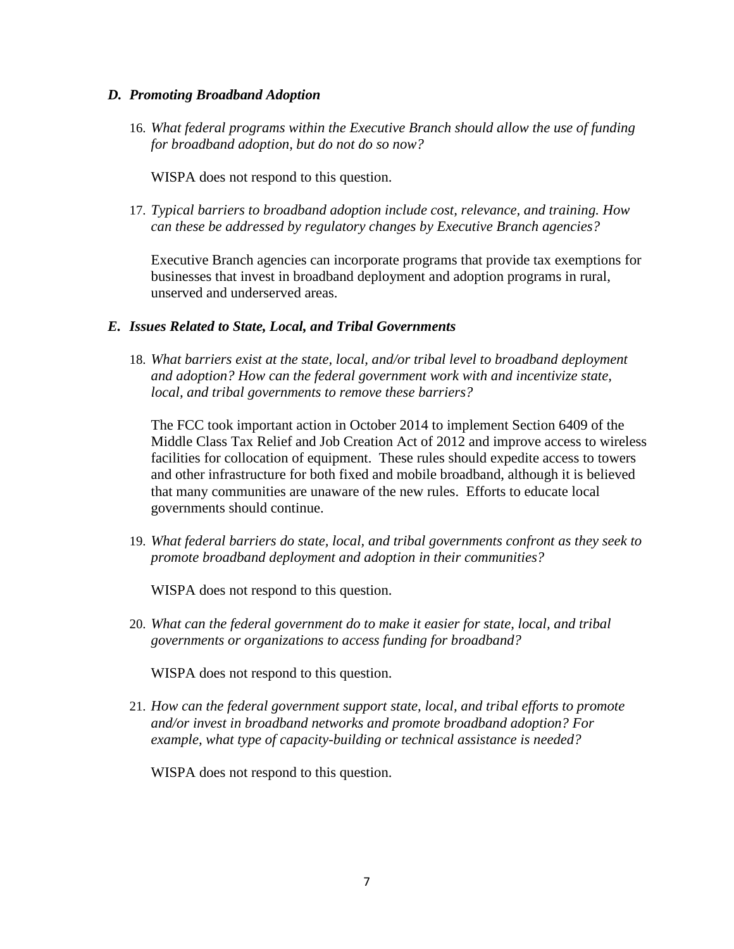#### *D. Promoting Broadband Adoption*

16. *What federal programs within the Executive Branch should allow the use of funding for broadband adoption, but do not do so now?* 

WISPA does not respond to this question.

17. *Typical barriers to broadband adoption include cost, relevance, and training. How can these be addressed by regulatory changes by Executive Branch agencies?* 

Executive Branch agencies can incorporate programs that provide tax exemptions for businesses that invest in broadband deployment and adoption programs in rural, unserved and underserved areas.

## *E. Issues Related to State, Local, and Tribal Governments*

18. *What barriers exist at the state, local, and/or tribal level to broadband deployment and adoption? How can the federal government work with and incentivize state, local, and tribal governments to remove these barriers?* 

The FCC took important action in October 2014 to implement Section 6409 of the Middle Class Tax Relief and Job Creation Act of 2012 and improve access to wireless facilities for collocation of equipment. These rules should expedite access to towers and other infrastructure for both fixed and mobile broadband, although it is believed that many communities are unaware of the new rules. Efforts to educate local governments should continue.

19. *What federal barriers do state, local, and tribal governments confront as they seek to promote broadband deployment and adoption in their communities?* 

WISPA does not respond to this question.

20. *What can the federal government do to make it easier for state, local, and tribal governments or organizations to access funding for broadband?* 

WISPA does not respond to this question.

21. *How can the federal government support state, local, and tribal efforts to promote and/or invest in broadband networks and promote broadband adoption? For example, what type of capacity-building or technical assistance is needed?* 

WISPA does not respond to this question.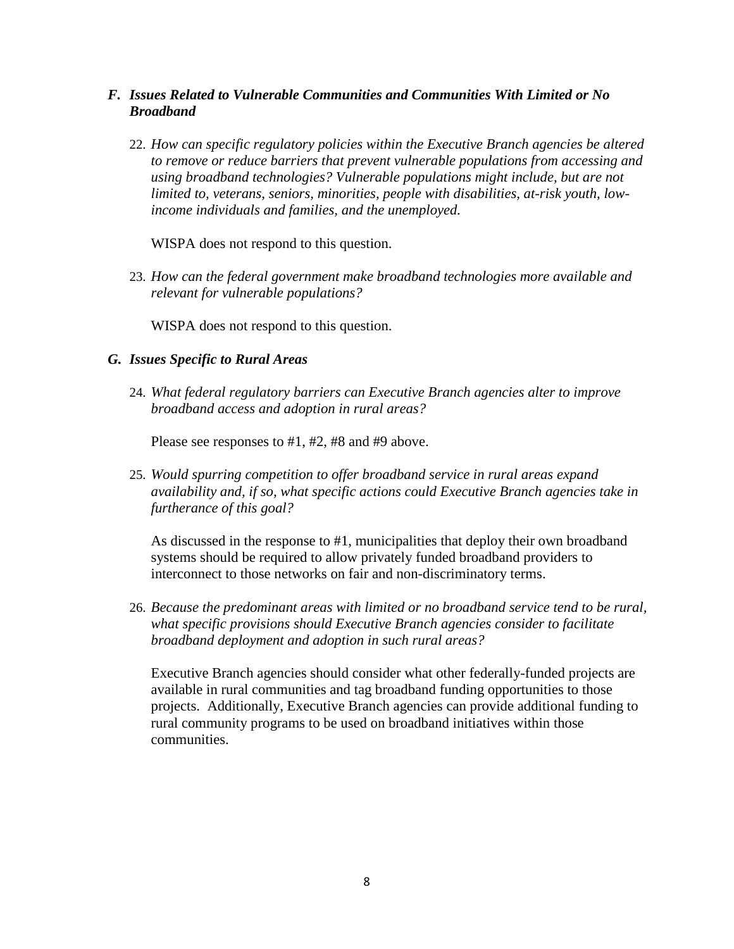- *F. Issues Related to Vulnerable Communities and Communities With Limited or No Broadband* 
	- 22. *How can specific regulatory policies within the Executive Branch agencies be altered to remove or reduce barriers that prevent vulnerable populations from accessing and using broadband technologies? Vulnerable populations might include, but are not limited to, veterans, seniors, minorities, people with disabilities, at-risk youth, lowincome individuals and families, and the unemployed.*

WISPA does not respond to this question.

23. *How can the federal government make broadband technologies more available and relevant for vulnerable populations?* 

WISPA does not respond to this question.

#### *G. Issues Specific to Rural Areas*

24. *What federal regulatory barriers can Executive Branch agencies alter to improve broadband access and adoption in rural areas?* 

Please see responses to #1, #2, #8 and #9 above.

25. *Would spurring competition to offer broadband service in rural areas expand availability and, if so, what specific actions could Executive Branch agencies take in furtherance of this goal?* 

As discussed in the response to #1, municipalities that deploy their own broadband systems should be required to allow privately funded broadband providers to interconnect to those networks on fair and non-discriminatory terms.

26. *Because the predominant areas with limited or no broadband service tend to be rural, what specific provisions should Executive Branch agencies consider to facilitate broadband deployment and adoption in such rural areas?* 

Executive Branch agencies should consider what other federally-funded projects are available in rural communities and tag broadband funding opportunities to those projects. Additionally, Executive Branch agencies can provide additional funding to rural community programs to be used on broadband initiatives within those communities.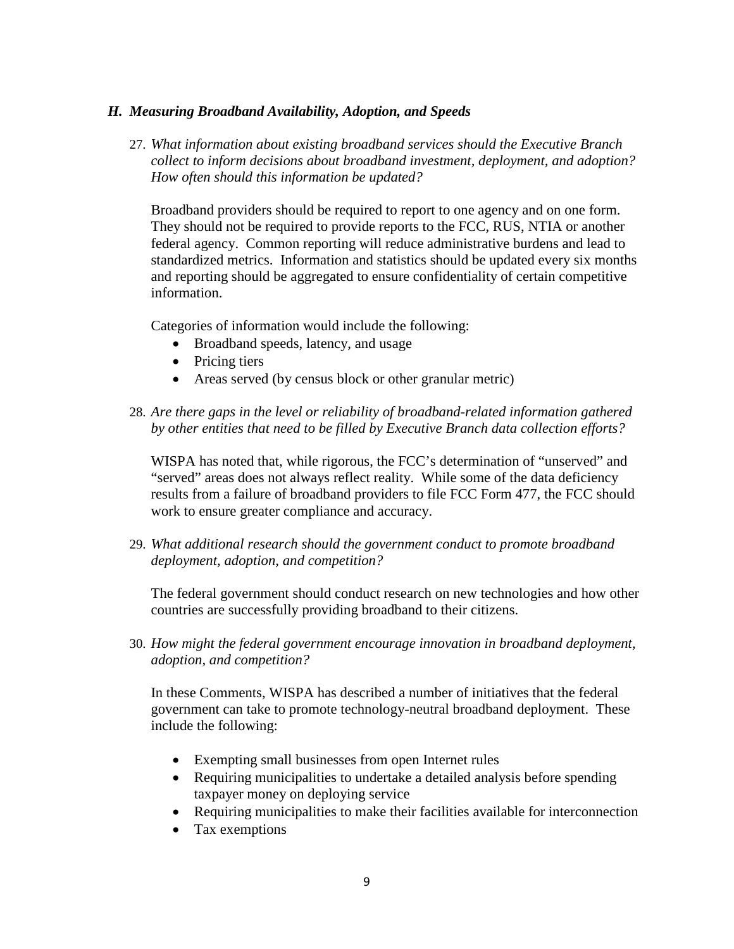## *H. Measuring Broadband Availability, Adoption, and Speeds*

27. *What information about existing broadband services should the Executive Branch collect to inform decisions about broadband investment, deployment, and adoption? How often should this information be updated?* 

Broadband providers should be required to report to one agency and on one form. They should not be required to provide reports to the FCC, RUS, NTIA or another federal agency. Common reporting will reduce administrative burdens and lead to standardized metrics. Information and statistics should be updated every six months and reporting should be aggregated to ensure confidentiality of certain competitive information.

Categories of information would include the following:

- Broadband speeds, latency, and usage
- Pricing tiers
- Areas served (by census block or other granular metric)
- 28. *Are there gaps in the level or reliability of broadband-related information gathered by other entities that need to be filled by Executive Branch data collection efforts?*

WISPA has noted that, while rigorous, the FCC's determination of "unserved" and "served" areas does not always reflect reality. While some of the data deficiency results from a failure of broadband providers to file FCC Form 477, the FCC should work to ensure greater compliance and accuracy.

29. *What additional research should the government conduct to promote broadband deployment, adoption, and competition?* 

The federal government should conduct research on new technologies and how other countries are successfully providing broadband to their citizens.

30. *How might the federal government encourage innovation in broadband deployment, adoption, and competition?*

In these Comments, WISPA has described a number of initiatives that the federal government can take to promote technology-neutral broadband deployment. These include the following:

- Exempting small businesses from open Internet rules
- Requiring municipalities to undertake a detailed analysis before spending taxpayer money on deploying service
- Requiring municipalities to make their facilities available for interconnection
- Tax exemptions